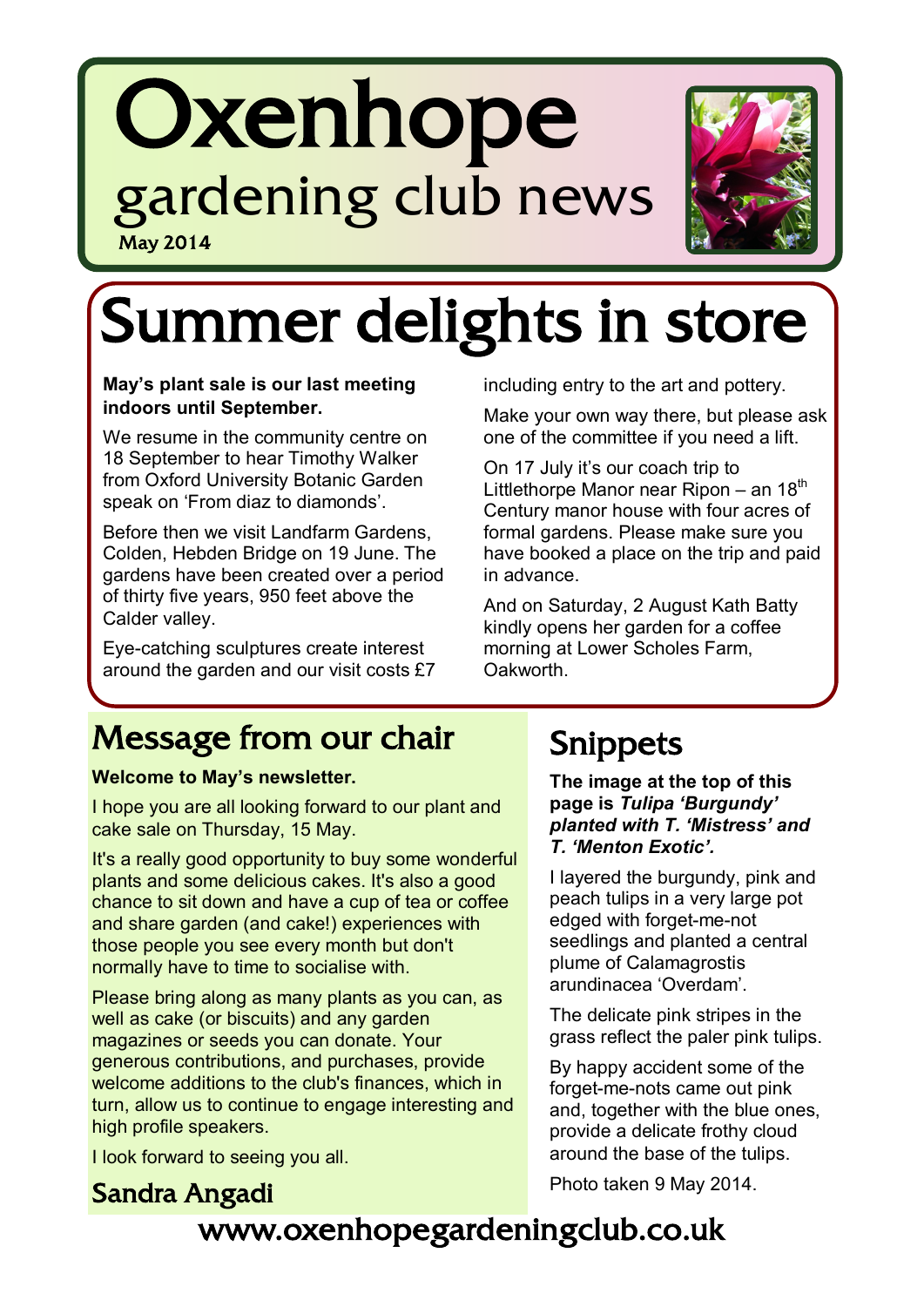## **Oxenhope** gardening club news May 2014



# Summer delights in store

#### **May's plant sale is our last meeting indoors until September.**

We resume in the community centre on 18 September to hear Timothy Walker from Oxford University Botanic Garden speak on "From diaz to diamonds".

Before then we visit Landfarm Gardens, Colden, Hebden Bridge on 19 June. The gardens have been created over a period of thirty five years, 950 feet above the Calder valley.

Eye-catching sculptures create interest around the garden and our visit costs £7 including entry to the art and pottery.

Make your own way there, but please ask one of the committee if you need a lift.

On 17 July it"s our coach trip to Littlethorpe Manor near Ripon – an  $18<sup>th</sup>$ Century manor house with four acres of formal gardens. Please make sure you have booked a place on the trip and paid in advance.

And on Saturday, 2 August Kath Batty kindly opens her garden for a coffee morning at Lower Scholes Farm, Oakworth.

## Message from our chair

#### **Welcome to May's newsletter.**

I hope you are all looking forward to our plant and cake sale on Thursday, 15 May.

It's a really good opportunity to buy some wonderful plants and some delicious cakes. It's also a good chance to sit down and have a cup of tea or coffee and share garden (and cake!) experiences with those people you see every month but don't normally have to time to socialise with.

Please bring along as many plants as you can, as well as cake (or biscuits) and any garden magazines or seeds you can donate. Your generous contributions, and purchases, provide welcome additions to the club's finances, which in turn, allow us to continue to engage interesting and high profile speakers.

I look forward to seeing you all.

Sandra Angadi

## Snippets

**The image at the top of this page is** *Tulipa 'Burgundy' planted with T. 'Mistress' and T. 'Menton Exotic'.* 

I layered the burgundy, pink and peach tulips in a very large pot edged with forget-me-not seedlings and planted a central plume of Calamagrostis arundinacea "Overdam".

The delicate pink stripes in the grass reflect the paler pink tulips.

By happy accident some of the forget-me-nots came out pink and, together with the blue ones, provide a delicate frothy cloud around the base of the tulips.

Photo taken 9 May 2014.

## www.oxenhopegardeningclub.co.uk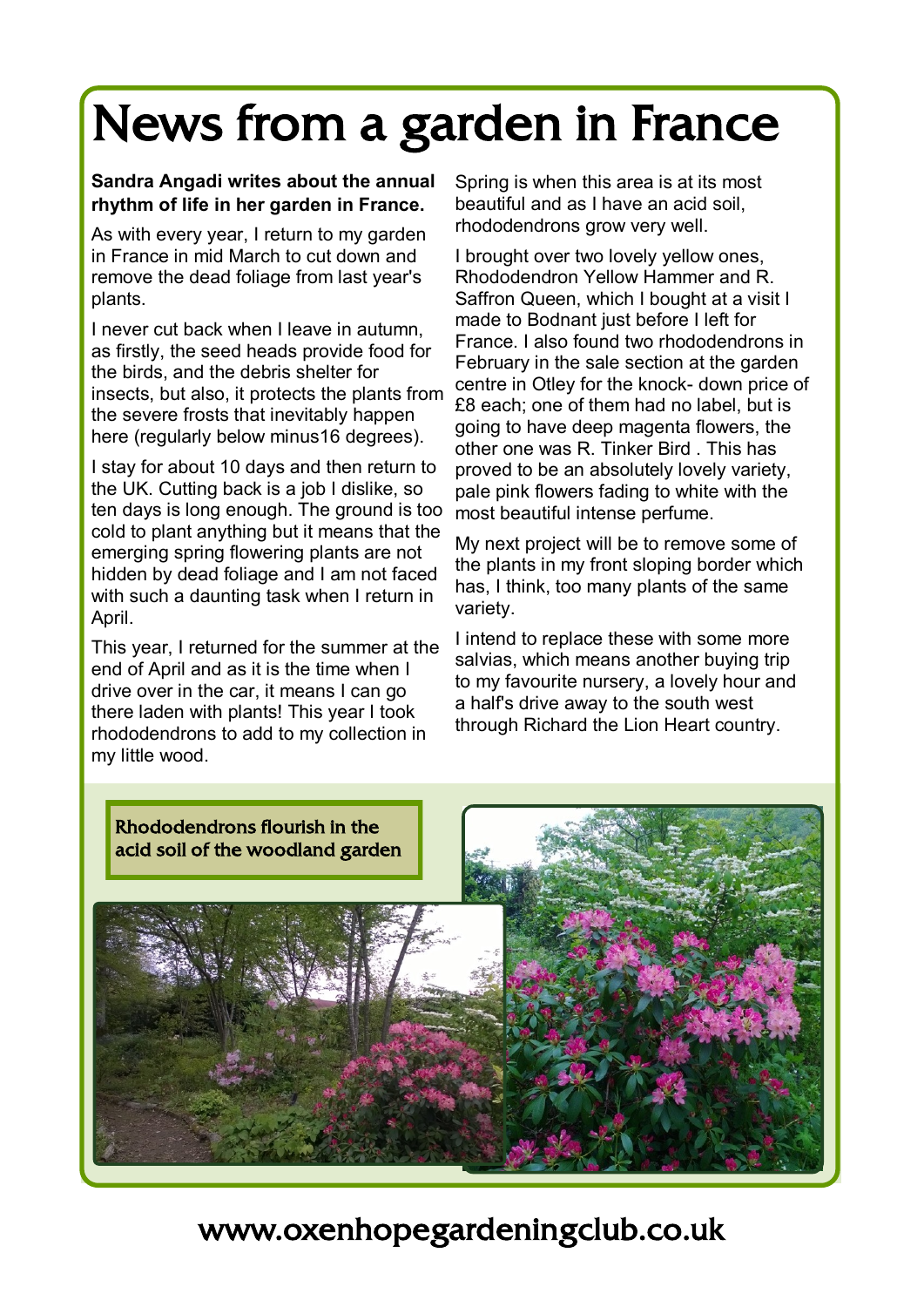## News from a garden in France

#### **Sandra Angadi writes about the annual rhythm of life in her garden in France.**

As with every year, I return to my garden in France in mid March to cut down and remove the dead foliage from last year's plants.

I never cut back when I leave in autumn, as firstly, the seed heads provide food for the birds, and the debris shelter for insects, but also, it protects the plants from the severe frosts that inevitably happen here (regularly below minus16 degrees).

I stay for about 10 days and then return to the UK. Cutting back is a job I dislike, so ten days is long enough. The ground is too cold to plant anything but it means that the emerging spring flowering plants are not hidden by dead foliage and I am not faced with such a daunting task when I return in April.

This year, I returned for the summer at the end of April and as it is the time when I drive over in the car, it means I can go there laden with plants! This year I took rhododendrons to add to my collection in my little wood.

Spring is when this area is at its most beautiful and as I have an acid soil, rhododendrons grow very well.

I brought over two lovely yellow ones, Rhododendron Yellow Hammer and R. Saffron Queen, which I bought at a visit I made to Bodnant just before I left for France. I also found two rhododendrons in February in the sale section at the garden centre in Otley for the knock- down price of £8 each; one of them had no label, but is going to have deep magenta flowers, the other one was R. Tinker Bird . This has proved to be an absolutely lovely variety, pale pink flowers fading to white with the most beautiful intense perfume.

My next project will be to remove some of the plants in my front sloping border which has, I think, too many plants of the same variety.

I intend to replace these with some more salvias, which means another buying trip to my favourite nursery, a lovely hour and a half's drive away to the south west through Richard the Lion Heart country.



www.oxenhopegardeningclub.co.uk